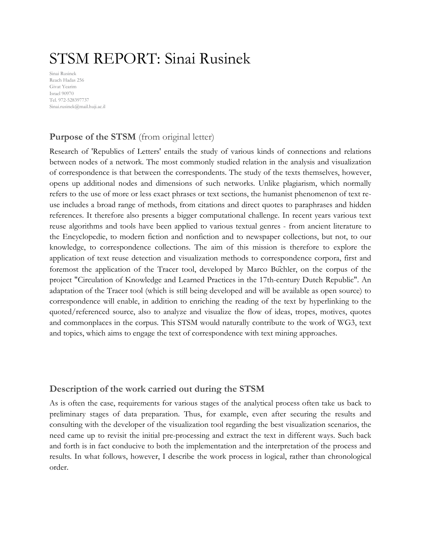# STSM REPORT: Sinai Rusinek

Sinai Rusinek Reach Hadas 256 Givat Yearim Israel 90970 Tel. 972-528397737 Sinai.rusinek@mail.huji.ac.il

# **Purpose of the STSM** (from original letter)

Research of 'Republics of Letters' entails the study of various kinds of connections and relations between nodes of a network. The most commonly studied relation in the analysis and visualization of correspondence is that between the correspondents. The study of the texts themselves, however, opens up additional nodes and dimensions of such networks. Unlike plagiarism, which normally refers to the use of more or less exact phrases or text sections, the humanist phenomenon of text reuse includes a broad range of methods, from citations and direct quotes to paraphrases and hidden references. It therefore also presents a bigger computational challenge. In recent years various text reuse algorithms and tools have been applied to various textual genres - from ancient literature to the Encyclopedie, to modern fiction and nonfiction and to newspaper collections, but not, to our knowledge, to correspondence collections. The aim of this mission is therefore to explore the application of text reuse detection and visualization methods to correspondence corpora, first and foremost the application of the Tracer tool, developed by Marco Büchler, on the corpus of the project "Circulation of Knowledge and Learned Practices in the 17th-century Dutch Republic". An adaptation of the Tracer tool (which is still being developed and will be available as open source) to correspondence will enable, in addition to enriching the reading of the text by hyperlinking to the quoted/referenced source, also to analyze and visualize the flow of ideas, tropes, motives, quotes and commonplaces in the corpus. This STSM would naturally contribute to the work of WG3, text and topics, which aims to engage the text of correspondence with text mining approaches.

## **Description of the work carried out during the STSM**

As is often the case, requirements for various stages of the analytical process often take us back to preliminary stages of data preparation. Thus, for example, even after securing the results and consulting with the developer of the visualization tool regarding the best visualization scenarios, the need came up to revisit the initial pre-processing and extract the text in different ways. Such back and forth is in fact conducive to both the implementation and the interpretation of the process and results. In what follows, however, I describe the work process in logical, rather than chronological order.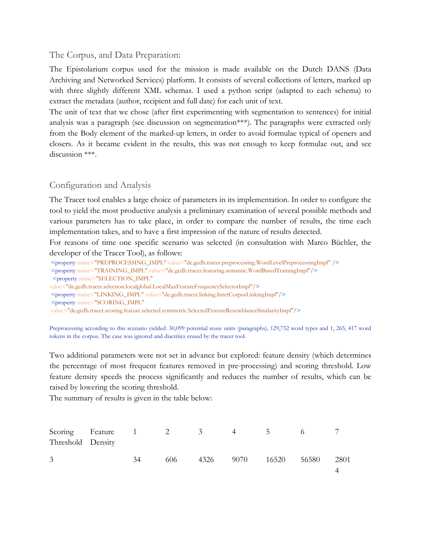#### The Corpus, and Data Preparation:

The Epistolarium corpus used for the mission is made available on the Dutch DANS (Data Archiving and Networked Services) platform. It consists of several collections of letters, marked up with three slightly different XML schemas. I used a python script (adapted to each schema) to extract the metadata (author, recipient and full date) for each unit of text.

The unit of text that we chose (after first experimenting with segmentation to sentences) for initial analysis was a paragraph (see discussion on segmentation\*\*\*). The paragraphs were extracted only from the Body element of the marked-up letters, in order to avoid formulae typical of openers and closers. As it became evident in the results, this was not enough to keep formulae out, and see discussion \*\*\*.

#### Configuration and Analysis

The Tracer tool enables a large choice of parameters in its implementation. In order to configure the tool to yield the most productive analysis a preliminary examination of several possible methods and various parameters has to take place, in order to compare the number of results, the time each implementation takes, and to have a first impression of the nature of results detected.

For reasons of time one specific scenario was selected (in consultation with Marco Büchler, the developer of the Tracer Tool), as follows:

<property name="PREPROCESSING\_IMPL" value="de.gcdh.tracer.preprocessing.WordLevelPreprocessingImpl" />

<property name="TRAINING\_IMPL" value="de.gcdh.tracer.featuring.semantic.WordBasedTrainingImpl"/>

<property name="SELECTION\_IMPL"

- value="de.gcdh.tracer.selection.localglobal.LocalMaxFeatureFrequencySelectorImpl"/>
- <property name="LINKING\_IMPL" value="de.gcdh.tracer.linking.InterCorpusLinkingImpl"/>

<property name="SCORING\_IMPL"

value="de.gcdh.tracer.scoring.feature.selected.symmetric.SelectedFeatureResemblanceSimilarityImpl"/>

Preprocessing according to this scenario yielded: 30,099 potential reuse units (paragraphs), 129,732 word types and 1, 265, 417 word tokens in the corpus. The case was ignored and diacritics erased by the tracer tool.

Two additional parameters were not set in advance but explored: feature density (which determines the percentage of most frequent features removed in pre-processing) and scoring threshold. Low feature density speeds the process significantly and reduces the number of results, which can be raised by lowering the scoring threshold.

The summary of results is given in the table below:

| Threshold Density |    |      |      |      |       |       |      |
|-------------------|----|------|------|------|-------|-------|------|
|                   |    |      |      |      |       |       |      |
| $\overline{3}$    | 34 | 606. | 4326 | 9070 | 16520 | 56580 | 2801 |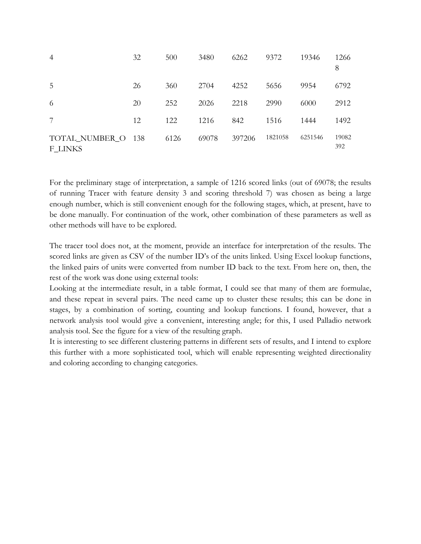| $\overline{4}$                | 32 | 500  | 3480  | 6262   | 9372    | 19346   | 1266<br>8    |
|-------------------------------|----|------|-------|--------|---------|---------|--------------|
| 5                             | 26 | 360  | 2704  | 4252   | 5656    | 9954    | 6792         |
| 6                             | 20 | 252  | 2026  | 2218   | 2990    | 6000    | 2912         |
| 7                             | 12 | 122  | 1216  | 842    | 1516    | 1444    | 1492         |
| TOTAL NUMBER O 138<br>F LINKS |    | 6126 | 69078 | 397206 | 1821058 | 6251546 | 19082<br>392 |

For the preliminary stage of interpretation, a sample of 1216 scored links (out of 69078; the results of running Tracer with feature density 3 and scoring threshold 7) was chosen as being a large enough number, which is still convenient enough for the following stages, which, at present, have to be done manually. For continuation of the work, other combination of these parameters as well as other methods will have to be explored.

The tracer tool does not, at the moment, provide an interface for interpretation of the results. The scored links are given as CSV of the number ID's of the units linked. Using Excel lookup functions, the linked pairs of units were converted from number ID back to the text. From here on, then, the rest of the work was done using external tools:

Looking at the intermediate result, in a table format, I could see that many of them are formulae, and these repeat in several pairs. The need came up to cluster these results; this can be done in stages, by a combination of sorting, counting and lookup functions. I found, however, that a network analysis tool would give a convenient, interesting angle; for this, I used Palladio network analysis tool. See the figure for a view of the resulting graph.

It is interesting to see different clustering patterns in different sets of results, and I intend to explore this further with a more sophisticated tool, which will enable representing weighted directionality and coloring according to changing categories.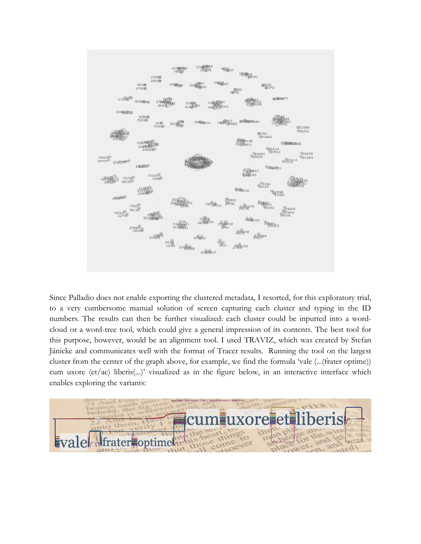

Since Palladio does not enable exporting the clustered metadata, I resorted, for this exploratory trial, to a very cumbersome manual solution of screen capturing each cluster and typing in the ID numbers. The results can then be further visualized: each cluster could be inputted into a wordcloud or a word-tree tool, which could give a general impression of its contents. The best tool for this purpose, however, would be an alignment tool. I used TRAVIZ, which was created by Stefan Jänicke and communicates well with the format of Tracer results. Running the tool on the largest cluster from the center of the graph above, for example, we find the formula 'vale (...(frater optime)) cum uxore (et/ac) liberis(...)' visualized as in the figure below, in an interactive interface which enables exploring the variants:

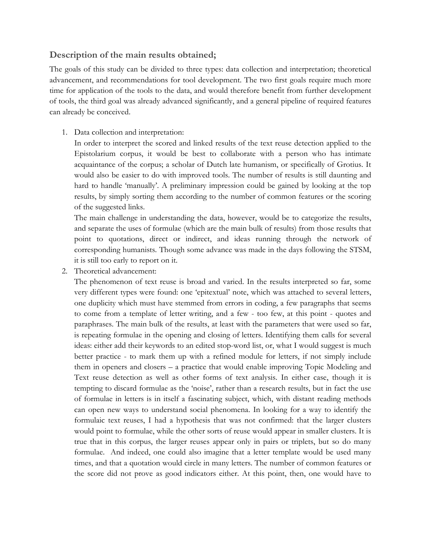## **Description of the main results obtained;**

The goals of this study can be divided to three types: data collection and interpretation; theoretical advancement, and recommendations for tool development. The two first goals require much more time for application of the tools to the data, and would therefore benefit from further development of tools, the third goal was already advanced significantly, and a general pipeline of required features can already be conceived.

1. Data collection and interpretation:

In order to interpret the scored and linked results of the text reuse detection applied to the Epistolarium corpus, it would be best to collaborate with a person who has intimate acquaintance of the corpus; a scholar of Dutch late humanism, or specifically of Grotius. It would also be easier to do with improved tools. The number of results is still daunting and hard to handle 'manually'. A preliminary impression could be gained by looking at the top results, by simply sorting them according to the number of common features or the scoring of the suggested links.

The main challenge in understanding the data, however, would be to categorize the results, and separate the uses of formulae (which are the main bulk of results) from those results that point to quotations, direct or indirect, and ideas running through the network of corresponding humanists. Though some advance was made in the days following the STSM, it is still too early to report on it.

2. Theoretical advancement:

The phenomenon of text reuse is broad and varied. In the results interpreted so far, some very different types were found: one 'epitextual' note, which was attached to several letters, one duplicity which must have stemmed from errors in coding, a few paragraphs that seems to come from a template of letter writing, and a few - too few, at this point - quotes and paraphrases. The main bulk of the results, at least with the parameters that were used so far, is repeating formulae in the opening and closing of letters. Identifying them calls for several ideas: either add their keywords to an edited stop-word list, or, what I would suggest is much better practice - to mark them up with a refined module for letters, if not simply include them in openers and closers – a practice that would enable improving Topic Modeling and Text reuse detection as well as other forms of text analysis. In either case, though it is tempting to discard formulae as the 'noise', rather than a research results, but in fact the use of formulae in letters is in itself a fascinating subject, which, with distant reading methods can open new ways to understand social phenomena. In looking for a way to identify the formulaic text reuses, I had a hypothesis that was not confirmed: that the larger clusters would point to formulae, while the other sorts of reuse would appear in smaller clusters. It is true that in this corpus, the larger reuses appear only in pairs or triplets, but so do many formulae. And indeed, one could also imagine that a letter template would be used many times, and that a quotation would circle in many letters. The number of common features or the score did not prove as good indicators either. At this point, then, one would have to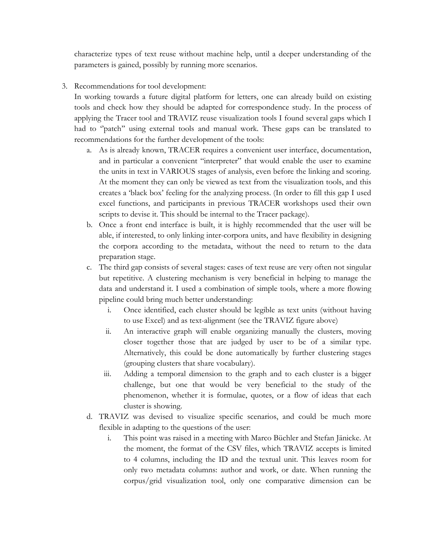characterize types of text reuse without machine help, until a deeper understanding of the parameters is gained, possibly by running more scenarios.

3. Recommendations for tool development:

In working towards a future digital platform for letters, one can already build on existing tools and check how they should be adapted for correspondence study. In the process of applying the Tracer tool and TRAVIZ reuse visualization tools I found several gaps which I had to "patch" using external tools and manual work. These gaps can be translated to recommendations for the further development of the tools:

- a. As is already known, TRACER requires a convenient user interface, documentation, and in particular a convenient "interpreter" that would enable the user to examine the units in text in VARIOUS stages of analysis, even before the linking and scoring. At the moment they can only be viewed as text from the visualization tools, and this creates a 'black box' feeling for the analyzing process. (In order to fill this gap I used excel functions, and participants in previous TRACER workshops used their own scripts to devise it. This should be internal to the Tracer package).
- b. Once a front end interface is built, it is highly recommended that the user will be able, if interested, to only linking inter-corpora units, and have flexibility in designing the corpora according to the metadata, without the need to return to the data preparation stage.
- c. The third gap consists of several stages: cases of text reuse are very often not singular but repetitive. A clustering mechanism is very beneficial in helping to manage the data and understand it. I used a combination of simple tools, where a more flowing pipeline could bring much better understanding:
	- i. Once identified, each cluster should be legible as text units (without having to use Excel) and as text-alignment (see the TRAVIZ figure above)
	- ii. An interactive graph will enable organizing manually the clusters, moving closer together those that are judged by user to be of a similar type. Alternatively, this could be done automatically by further clustering stages (grouping clusters that share vocabulary).
	- iii. Adding a temporal dimension to the graph and to each cluster is a bigger challenge, but one that would be very beneficial to the study of the phenomenon, whether it is formulae, quotes, or a flow of ideas that each cluster is showing.
- d. TRAVIZ was devised to visualize specific scenarios, and could be much more flexible in adapting to the questions of the user:
	- i. This point was raised in a meeting with Marco Büchler and Stefan Jänicke. At the moment, the format of the CSV files, which TRAVIZ accepts is limited to 4 columns, including the ID and the textual unit. This leaves room for only two metadata columns: author and work, or date. When running the corpus/grid visualization tool, only one comparative dimension can be